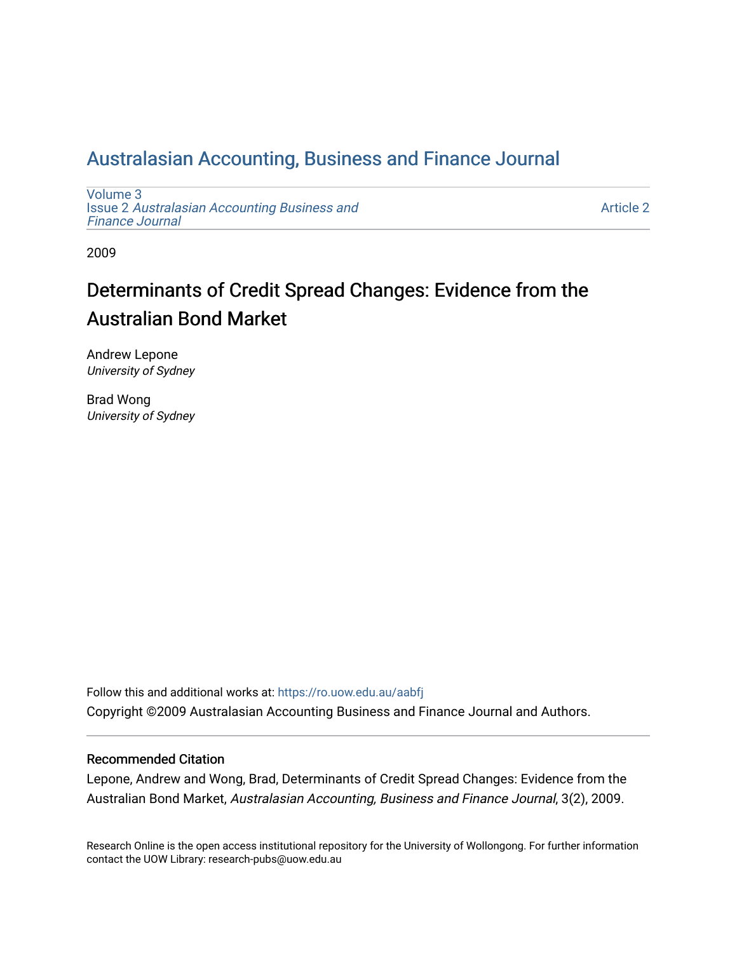## [Australasian Accounting, Business and Finance Journal](https://ro.uow.edu.au/aabfj)

[Volume 3](https://ro.uow.edu.au/aabfj/vol3) Issue 2 [Australasian Accounting Business and](https://ro.uow.edu.au/aabfj/vol3/iss2) [Finance Journal](https://ro.uow.edu.au/aabfj/vol3/iss2) 

[Article 2](https://ro.uow.edu.au/aabfj/vol3/iss2/2) 

2009

# Determinants of Credit Spread Changes: Evidence from the Australian Bond Market

Andrew Lepone University of Sydney

Brad Wong University of Sydney

Follow this and additional works at: [https://ro.uow.edu.au/aabfj](https://ro.uow.edu.au/aabfj?utm_source=ro.uow.edu.au%2Faabfj%2Fvol3%2Fiss2%2F2&utm_medium=PDF&utm_campaign=PDFCoverPages) Copyright ©2009 Australasian Accounting Business and Finance Journal and Authors.

#### Recommended Citation

Lepone, Andrew and Wong, Brad, Determinants of Credit Spread Changes: Evidence from the Australian Bond Market, Australasian Accounting, Business and Finance Journal, 3(2), 2009.

Research Online is the open access institutional repository for the University of Wollongong. For further information contact the UOW Library: research-pubs@uow.edu.au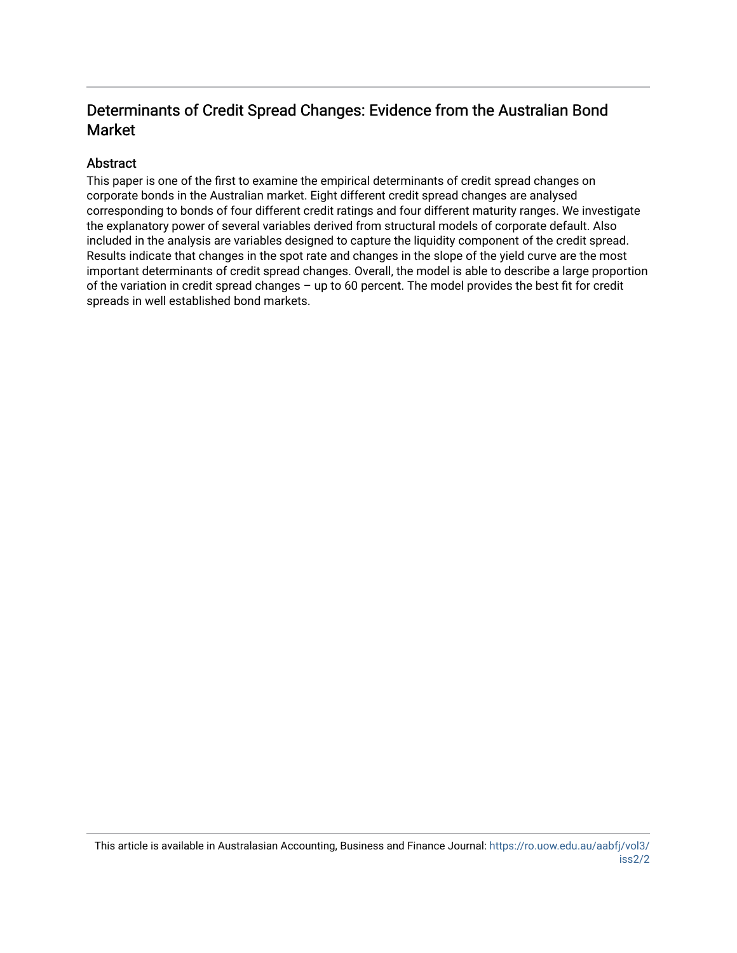## Determinants of Credit Spread Changes: Evidence from the Australian Bond Market

### Abstract

This paper is one of the first to examine the empirical determinants of credit spread changes on corporate bonds in the Australian market. Eight different credit spread changes are analysed corresponding to bonds of four different credit ratings and four different maturity ranges. We investigate the explanatory power of several variables derived from structural models of corporate default. Also included in the analysis are variables designed to capture the liquidity component of the credit spread. Results indicate that changes in the spot rate and changes in the slope of the yield curve are the most important determinants of credit spread changes. Overall, the model is able to describe a large proportion of the variation in credit spread changes – up to 60 percent. The model provides the best fit for credit spreads in well established bond markets.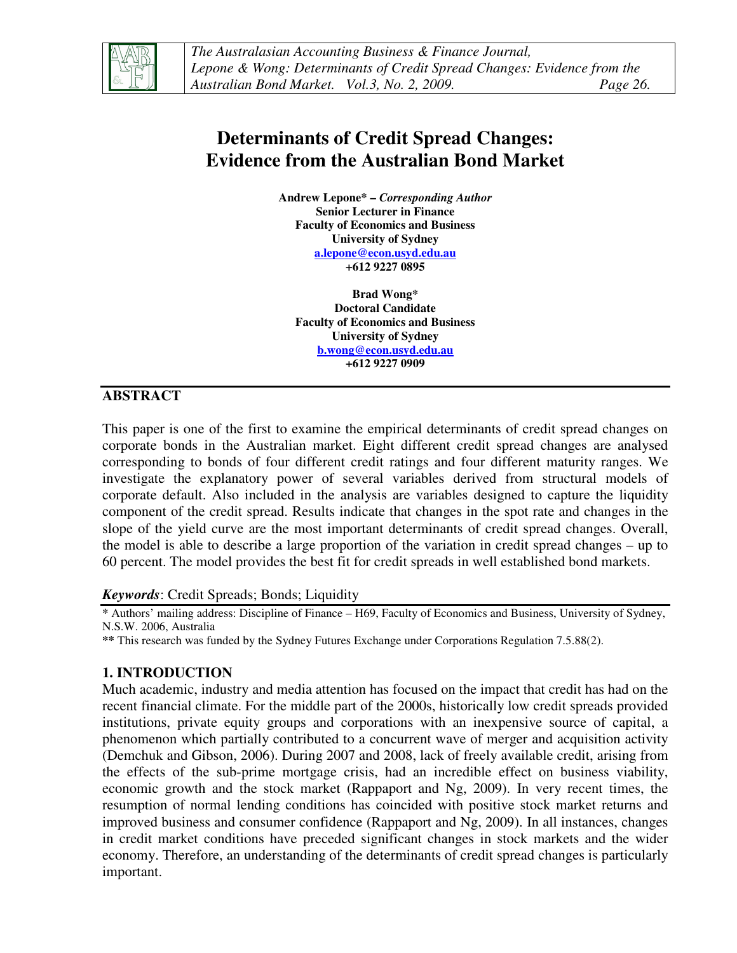

*The Australasian Accounting Business & Finance Journal, Lepone & Wong: Determinants of Credit Spread Changes: Evidence from the Australian Bond Market. Vol.3, No. 2, 2009. Page 26.*

## **Determinants of Credit Spread Changes: Evidence from the Australian Bond Market**

**Andrew Lepone\* –** *Corresponding Author* **Senior Lecturer in Finance Faculty of Economics and Business University of Sydney a.lepone@econ.usyd.edu.au +612 9227 0895** 

**Brad Wong\* Doctoral Candidate Faculty of Economics and Business University of Sydney b.wong@econ.usyd.edu.au +612 9227 0909** 

## **ABSTRACT**

This paper is one of the first to examine the empirical determinants of credit spread changes on corporate bonds in the Australian market. Eight different credit spread changes are analysed corresponding to bonds of four different credit ratings and four different maturity ranges. We investigate the explanatory power of several variables derived from structural models of corporate default. Also included in the analysis are variables designed to capture the liquidity component of the credit spread. Results indicate that changes in the spot rate and changes in the slope of the yield curve are the most important determinants of credit spread changes. Overall, the model is able to describe a large proportion of the variation in credit spread changes – up to 60 percent. The model provides the best fit for credit spreads in well established bond markets.

#### *Keywords*: Credit Spreads; Bonds; Liquidity

**\*** Authors' mailing address: Discipline of Finance – H69, Faculty of Economics and Business, University of Sydney, N.S.W. 2006, Australia

**\*\*** This research was funded by the Sydney Futures Exchange under Corporations Regulation 7.5.88(2).

## **1. INTRODUCTION**

Much academic, industry and media attention has focused on the impact that credit has had on the recent financial climate. For the middle part of the 2000s, historically low credit spreads provided institutions, private equity groups and corporations with an inexpensive source of capital, a phenomenon which partially contributed to a concurrent wave of merger and acquisition activity (Demchuk and Gibson, 2006). During 2007 and 2008, lack of freely available credit, arising from the effects of the sub-prime mortgage crisis, had an incredible effect on business viability, economic growth and the stock market (Rappaport and Ng, 2009). In very recent times, the resumption of normal lending conditions has coincided with positive stock market returns and improved business and consumer confidence (Rappaport and Ng, 2009). In all instances, changes in credit market conditions have preceded significant changes in stock markets and the wider economy. Therefore, an understanding of the determinants of credit spread changes is particularly important.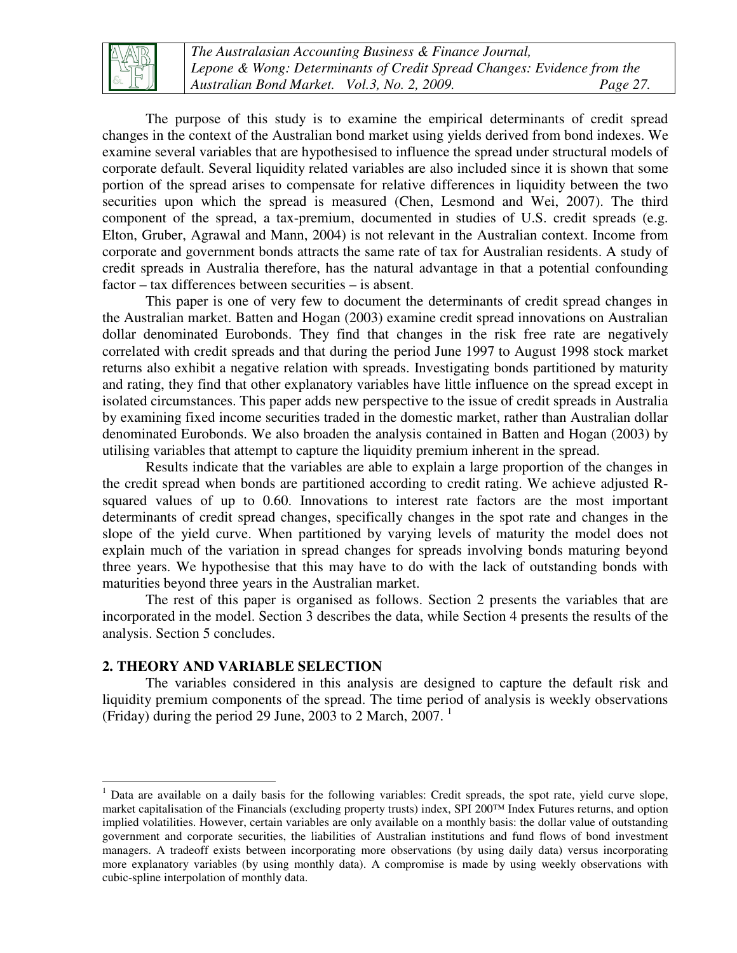

*The Australasian Accounting Business & Finance Journal, Lepone & Wong: Determinants of Credit Spread Changes: Evidence from the Australian Bond Market. Vol.3, No. 2, 2009. Page 27.*

The purpose of this study is to examine the empirical determinants of credit spread changes in the context of the Australian bond market using yields derived from bond indexes. We examine several variables that are hypothesised to influence the spread under structural models of corporate default. Several liquidity related variables are also included since it is shown that some portion of the spread arises to compensate for relative differences in liquidity between the two securities upon which the spread is measured (Chen, Lesmond and Wei, 2007). The third component of the spread, a tax-premium, documented in studies of U.S. credit spreads (e.g. Elton, Gruber, Agrawal and Mann, 2004) is not relevant in the Australian context. Income from corporate and government bonds attracts the same rate of tax for Australian residents. A study of credit spreads in Australia therefore, has the natural advantage in that a potential confounding factor – tax differences between securities – is absent.

This paper is one of very few to document the determinants of credit spread changes in the Australian market. Batten and Hogan (2003) examine credit spread innovations on Australian dollar denominated Eurobonds. They find that changes in the risk free rate are negatively correlated with credit spreads and that during the period June 1997 to August 1998 stock market returns also exhibit a negative relation with spreads. Investigating bonds partitioned by maturity and rating, they find that other explanatory variables have little influence on the spread except in isolated circumstances. This paper adds new perspective to the issue of credit spreads in Australia by examining fixed income securities traded in the domestic market, rather than Australian dollar denominated Eurobonds. We also broaden the analysis contained in Batten and Hogan (2003) by utilising variables that attempt to capture the liquidity premium inherent in the spread.

Results indicate that the variables are able to explain a large proportion of the changes in the credit spread when bonds are partitioned according to credit rating. We achieve adjusted Rsquared values of up to 0.60. Innovations to interest rate factors are the most important determinants of credit spread changes, specifically changes in the spot rate and changes in the slope of the yield curve. When partitioned by varying levels of maturity the model does not explain much of the variation in spread changes for spreads involving bonds maturing beyond three years. We hypothesise that this may have to do with the lack of outstanding bonds with maturities beyond three years in the Australian market.

The rest of this paper is organised as follows. Section 2 presents the variables that are incorporated in the model. Section 3 describes the data, while Section 4 presents the results of the analysis. Section 5 concludes.

#### **2. THEORY AND VARIABLE SELECTION**

The variables considered in this analysis are designed to capture the default risk and liquidity premium components of the spread. The time period of analysis is weekly observations (Friday) during the period 29 June, 2003 to 2 March,  $2007$ .<sup>1</sup>

<sup>&</sup>lt;u>.</u> <sup>1</sup> Data are available on a daily basis for the following variables: Credit spreads, the spot rate, yield curve slope, market capitalisation of the Financials (excluding property trusts) index, SPI 200™ Index Futures returns, and option implied volatilities. However, certain variables are only available on a monthly basis: the dollar value of outstanding government and corporate securities, the liabilities of Australian institutions and fund flows of bond investment managers. A tradeoff exists between incorporating more observations (by using daily data) versus incorporating more explanatory variables (by using monthly data). A compromise is made by using weekly observations with cubic-spline interpolation of monthly data.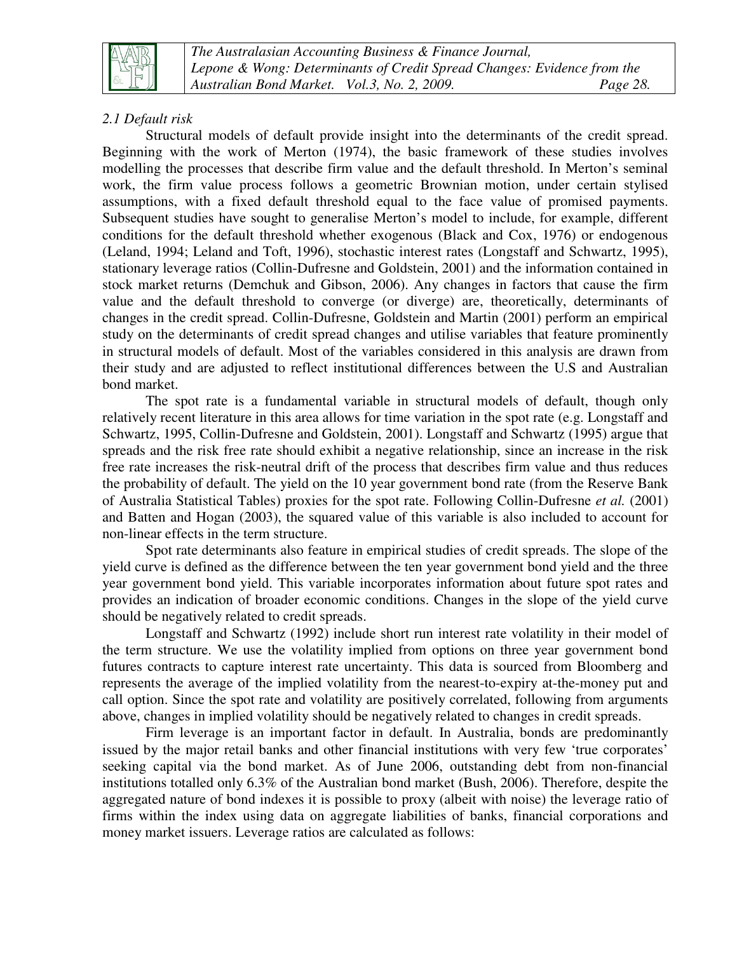

*The Australasian Accounting Business & Finance Journal, Lepone & Wong: Determinants of Credit Spread Changes: Evidence from the Australian Bond Market. Vol.3, No. 2, 2009. Page 28.*

## *2.1 Default risk*

Structural models of default provide insight into the determinants of the credit spread. Beginning with the work of Merton (1974), the basic framework of these studies involves modelling the processes that describe firm value and the default threshold. In Merton's seminal work, the firm value process follows a geometric Brownian motion, under certain stylised assumptions, with a fixed default threshold equal to the face value of promised payments. Subsequent studies have sought to generalise Merton's model to include, for example, different conditions for the default threshold whether exogenous (Black and Cox, 1976) or endogenous (Leland, 1994; Leland and Toft, 1996), stochastic interest rates (Longstaff and Schwartz, 1995), stationary leverage ratios (Collin-Dufresne and Goldstein, 2001) and the information contained in stock market returns (Demchuk and Gibson, 2006). Any changes in factors that cause the firm value and the default threshold to converge (or diverge) are, theoretically, determinants of changes in the credit spread. Collin-Dufresne, Goldstein and Martin (2001) perform an empirical study on the determinants of credit spread changes and utilise variables that feature prominently in structural models of default. Most of the variables considered in this analysis are drawn from their study and are adjusted to reflect institutional differences between the U.S and Australian bond market.

The spot rate is a fundamental variable in structural models of default, though only relatively recent literature in this area allows for time variation in the spot rate (e.g. Longstaff and Schwartz, 1995, Collin-Dufresne and Goldstein, 2001). Longstaff and Schwartz (1995) argue that spreads and the risk free rate should exhibit a negative relationship, since an increase in the risk free rate increases the risk-neutral drift of the process that describes firm value and thus reduces the probability of default. The yield on the 10 year government bond rate (from the Reserve Bank of Australia Statistical Tables) proxies for the spot rate. Following Collin-Dufresne *et al.* (2001) and Batten and Hogan (2003), the squared value of this variable is also included to account for non-linear effects in the term structure.

Spot rate determinants also feature in empirical studies of credit spreads. The slope of the yield curve is defined as the difference between the ten year government bond yield and the three year government bond yield. This variable incorporates information about future spot rates and provides an indication of broader economic conditions. Changes in the slope of the yield curve should be negatively related to credit spreads.

Longstaff and Schwartz (1992) include short run interest rate volatility in their model of the term structure. We use the volatility implied from options on three year government bond futures contracts to capture interest rate uncertainty. This data is sourced from Bloomberg and represents the average of the implied volatility from the nearest-to-expiry at-the-money put and call option. Since the spot rate and volatility are positively correlated, following from arguments above, changes in implied volatility should be negatively related to changes in credit spreads.

Firm leverage is an important factor in default. In Australia, bonds are predominantly issued by the major retail banks and other financial institutions with very few 'true corporates' seeking capital via the bond market. As of June 2006, outstanding debt from non-financial institutions totalled only 6.3% of the Australian bond market (Bush, 2006). Therefore, despite the aggregated nature of bond indexes it is possible to proxy (albeit with noise) the leverage ratio of firms within the index using data on aggregate liabilities of banks, financial corporations and money market issuers. Leverage ratios are calculated as follows: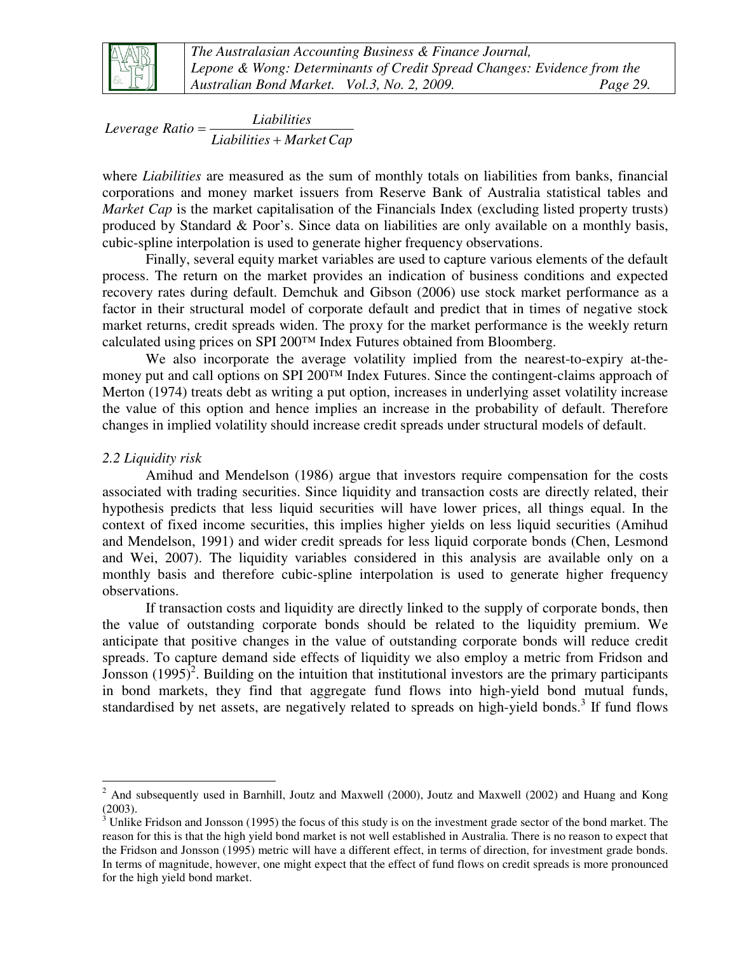

*Liabilities MarketCap Liabilities Leverage Ratio* + =

where *Liabilities* are measured as the sum of monthly totals on liabilities from banks, financial corporations and money market issuers from Reserve Bank of Australia statistical tables and *Market Cap* is the market capitalisation of the Financials Index (excluding listed property trusts) produced by Standard & Poor's. Since data on liabilities are only available on a monthly basis, cubic-spline interpolation is used to generate higher frequency observations.

Finally, several equity market variables are used to capture various elements of the default process. The return on the market provides an indication of business conditions and expected recovery rates during default. Demchuk and Gibson (2006) use stock market performance as a factor in their structural model of corporate default and predict that in times of negative stock market returns, credit spreads widen. The proxy for the market performance is the weekly return calculated using prices on SPI 200™ Index Futures obtained from Bloomberg.

We also incorporate the average volatility implied from the nearest-to-expiry at-themoney put and call options on SPI 200™ Index Futures. Since the contingent-claims approach of Merton (1974) treats debt as writing a put option, increases in underlying asset volatility increase the value of this option and hence implies an increase in the probability of default. Therefore changes in implied volatility should increase credit spreads under structural models of default.

### *2.2 Liquidity risk*

Amihud and Mendelson (1986) argue that investors require compensation for the costs associated with trading securities. Since liquidity and transaction costs are directly related, their hypothesis predicts that less liquid securities will have lower prices, all things equal. In the context of fixed income securities, this implies higher yields on less liquid securities (Amihud and Mendelson, 1991) and wider credit spreads for less liquid corporate bonds (Chen, Lesmond and Wei, 2007). The liquidity variables considered in this analysis are available only on a monthly basis and therefore cubic-spline interpolation is used to generate higher frequency observations.

If transaction costs and liquidity are directly linked to the supply of corporate bonds, then the value of outstanding corporate bonds should be related to the liquidity premium. We anticipate that positive changes in the value of outstanding corporate bonds will reduce credit spreads. To capture demand side effects of liquidity we also employ a metric from Fridson and Jonsson (1995)<sup>2</sup>. Building on the intuition that institutional investors are the primary participants in bond markets, they find that aggregate fund flows into high-yield bond mutual funds, standardised by net assets, are negatively related to spreads on high-yield bonds.<sup>3</sup> If fund flows

<sup>&</sup>lt;u>.</u>  $2$  And subsequently used in Barnhill, Joutz and Maxwell (2000), Joutz and Maxwell (2002) and Huang and Kong (2003).

 $3$  Unlike Fridson and Jonsson (1995) the focus of this study is on the investment grade sector of the bond market. The reason for this is that the high yield bond market is not well established in Australia. There is no reason to expect that the Fridson and Jonsson (1995) metric will have a different effect, in terms of direction, for investment grade bonds. In terms of magnitude, however, one might expect that the effect of fund flows on credit spreads is more pronounced for the high yield bond market.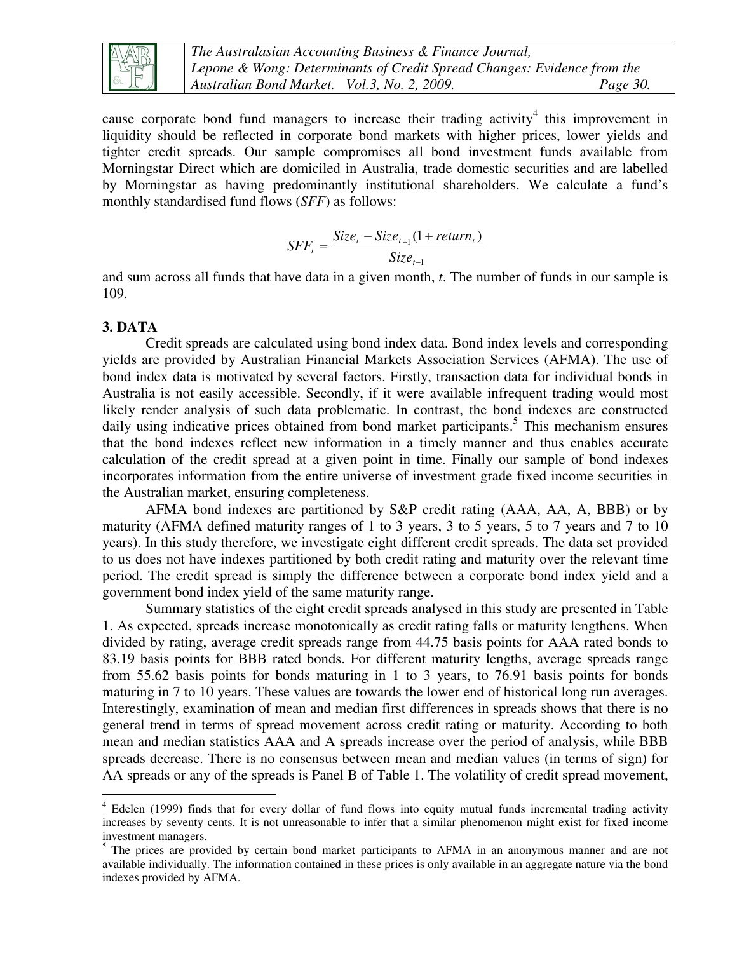

*The Australasian Accounting Business & Finance Journal, Lepone & Wong: Determinants of Credit Spread Changes: Evidence from the Australian Bond Market. Vol.3, No. 2, 2009. Page 30.*

cause corporate bond fund managers to increase their trading activity<sup>4</sup> this improvement in liquidity should be reflected in corporate bond markets with higher prices, lower yields and tighter credit spreads. Our sample compromises all bond investment funds available from Morningstar Direct which are domiciled in Australia, trade domestic securities and are labelled by Morningstar as having predominantly institutional shareholders. We calculate a fund's monthly standardised fund flows (*SFF*) as follows:

$$
SFF_t = \frac{Size_t - Size_{t-1}(1 + return_t)}{Size_{t-1}}
$$

and sum across all funds that have data in a given month, *t*. The number of funds in our sample is 109.

#### **3. DATA**

-

Credit spreads are calculated using bond index data. Bond index levels and corresponding yields are provided by Australian Financial Markets Association Services (AFMA). The use of bond index data is motivated by several factors. Firstly, transaction data for individual bonds in Australia is not easily accessible. Secondly, if it were available infrequent trading would most likely render analysis of such data problematic. In contrast, the bond indexes are constructed daily using indicative prices obtained from bond market participants.<sup>5</sup> This mechanism ensures that the bond indexes reflect new information in a timely manner and thus enables accurate calculation of the credit spread at a given point in time. Finally our sample of bond indexes incorporates information from the entire universe of investment grade fixed income securities in the Australian market, ensuring completeness.

AFMA bond indexes are partitioned by S&P credit rating (AAA, AA, A, BBB) or by maturity (AFMA defined maturity ranges of 1 to 3 years, 3 to 5 years, 5 to 7 years and 7 to 10 years). In this study therefore, we investigate eight different credit spreads. The data set provided to us does not have indexes partitioned by both credit rating and maturity over the relevant time period. The credit spread is simply the difference between a corporate bond index yield and a government bond index yield of the same maturity range.

Summary statistics of the eight credit spreads analysed in this study are presented in Table 1. As expected, spreads increase monotonically as credit rating falls or maturity lengthens. When divided by rating, average credit spreads range from 44.75 basis points for AAA rated bonds to 83.19 basis points for BBB rated bonds. For different maturity lengths, average spreads range from 55.62 basis points for bonds maturing in 1 to 3 years, to 76.91 basis points for bonds maturing in 7 to 10 years. These values are towards the lower end of historical long run averages. Interestingly, examination of mean and median first differences in spreads shows that there is no general trend in terms of spread movement across credit rating or maturity. According to both mean and median statistics AAA and A spreads increase over the period of analysis, while BBB spreads decrease. There is no consensus between mean and median values (in terms of sign) for AA spreads or any of the spreads is Panel B of Table 1. The volatility of credit spread movement,

<sup>4</sup> Edelen (1999) finds that for every dollar of fund flows into equity mutual funds incremental trading activity increases by seventy cents. It is not unreasonable to infer that a similar phenomenon might exist for fixed income investment managers.

<sup>&</sup>lt;sup>5</sup> The prices are provided by certain bond market participants to AFMA in an anonymous manner and are not available individually. The information contained in these prices is only available in an aggregate nature via the bond indexes provided by AFMA.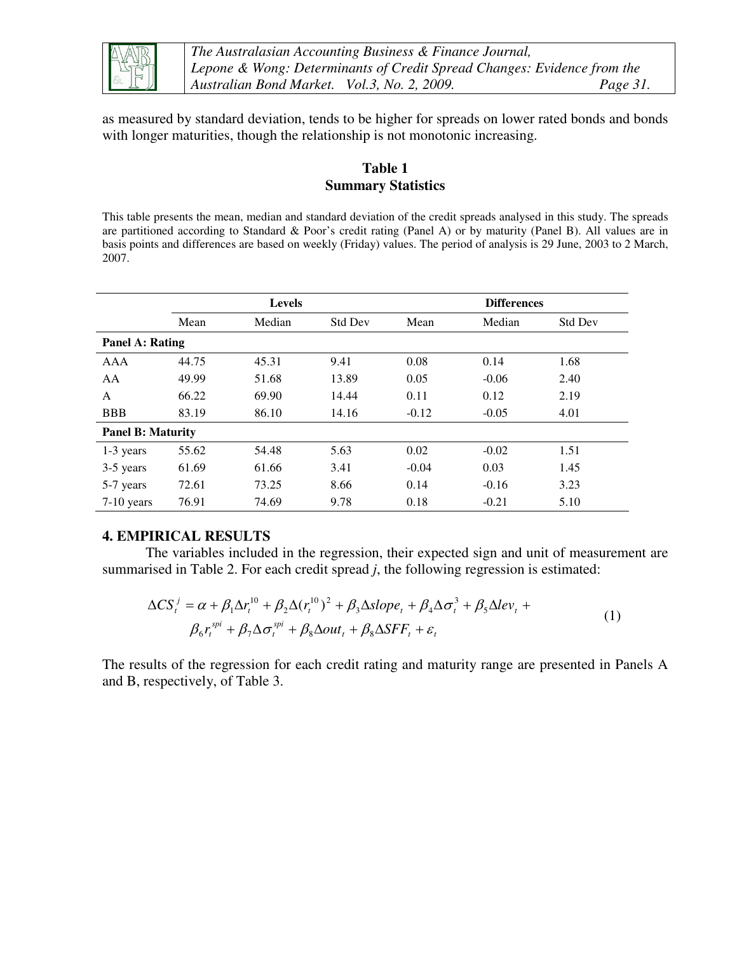

*The Australasian Accounting Business & Finance Journal, Lepone & Wong: Determinants of Credit Spread Changes: Evidence from the Australian Bond Market. Vol.3, No. 2, 2009. Page 31.*

as measured by standard deviation, tends to be higher for spreads on lower rated bonds and bonds with longer maturities, though the relationship is not monotonic increasing.

## **Table 1 Summary Statistics**

This table presents the mean, median and standard deviation of the credit spreads analysed in this study. The spreads are partitioned according to Standard & Poor's credit rating (Panel A) or by maturity (Panel B). All values are in basis points and differences are based on weekly (Friday) values. The period of analysis is 29 June, 2003 to 2 March, 2007.

|                          | <b>Levels</b> |        |                | <b>Differences</b> |         |                |  |
|--------------------------|---------------|--------|----------------|--------------------|---------|----------------|--|
|                          | Mean          | Median | <b>Std Dev</b> | Mean               | Median  | <b>Std Dev</b> |  |
| <b>Panel A: Rating</b>   |               |        |                |                    |         |                |  |
| <b>AAA</b>               | 44.75         | 45.31  | 9.41           | 0.08               | 0.14    | 1.68           |  |
| AA                       | 49.99         | 51.68  | 13.89          | 0.05               | $-0.06$ | 2.40           |  |
| A                        | 66.22         | 69.90  | 14.44          | 0.11               | 0.12    | 2.19           |  |
| <b>BBB</b>               | 83.19         | 86.10  | 14.16          | $-0.12$            | $-0.05$ | 4.01           |  |
| <b>Panel B: Maturity</b> |               |        |                |                    |         |                |  |
| 1-3 years                | 55.62         | 54.48  | 5.63           | 0.02               | $-0.02$ | 1.51           |  |
| 3-5 years                | 61.69         | 61.66  | 3.41           | $-0.04$            | 0.03    | 1.45           |  |
| 5-7 years                | 72.61         | 73.25  | 8.66           | 0.14               | $-0.16$ | 3.23           |  |
| 7-10 years               | 76.91         | 74.69  | 9.78           | 0.18               | $-0.21$ | 5.10           |  |

#### **4. EMPIRICAL RESULTS**

The variables included in the regression, their expected sign and unit of measurement are summarised in Table 2. For each credit spread *j*, the following regression is estimated:

$$
\Delta CS_t^j = \alpha + \beta_1 \Delta r_t^{10} + \beta_2 \Delta (r_t^{10})^2 + \beta_3 \Delta slope_t + \beta_4 \Delta \sigma_t^3 + \beta_5 \Delta lev_t + \beta_6 r_t^{spi} + \beta_7 \Delta \sigma_t^{spi} + \beta_8 \Delta out_t + \beta_8 \Delta SFF_t + \varepsilon_t
$$
\n(1)

The results of the regression for each credit rating and maturity range are presented in Panels A and B, respectively, of Table 3.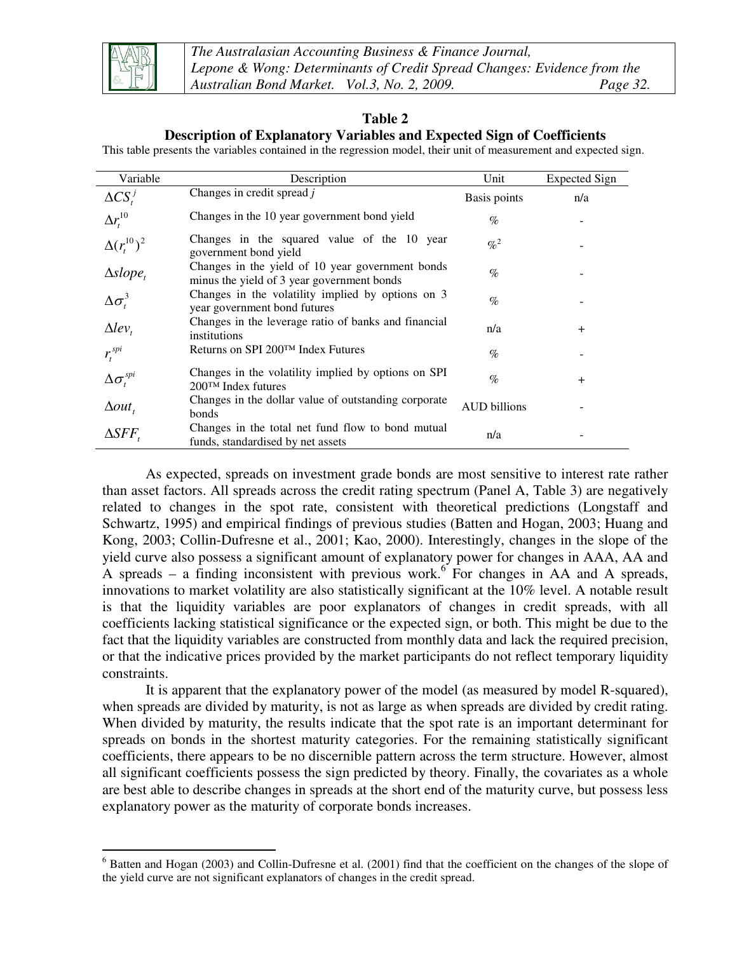

-

## **Table 2**

## **Description of Explanatory Variables and Expected Sign of Coefficients**

This table presents the variables contained in the regression model, their unit of measurement and expected sign.

| Variable                | Description                                                                                    | Unit                | <b>Expected Sign</b> |
|-------------------------|------------------------------------------------------------------------------------------------|---------------------|----------------------|
| $\Delta CS_t^j$         | Changes in credit spread j                                                                     | Basis points        | n/a                  |
| $\Delta r_t^{10}$       | Changes in the 10 year government bond yield                                                   | $\%$                |                      |
| $\Delta(r_t^{10})^2$    | Changes in the squared value of the 10 year<br>government bond yield                           | $\% ^{2}$           |                      |
| $\Delta slope_t$        | Changes in the yield of 10 year government bonds<br>minus the yield of 3 year government bonds | $\%$                |                      |
| $\Delta \sigma_t^3$     | Changes in the volatility implied by options on 3<br>year government bond futures              | $\%$                |                      |
| $\Delta lev_t$          | Changes in the leverage ratio of banks and financial<br>institutions                           | n/a                 | $^{+}$               |
| $r_{i}^{spi}$           | Returns on SPI 200™ Index Futures                                                              | $\%$                |                      |
| $\Delta \sigma^{spi}_t$ | Changes in the volatility implied by options on SPI<br>$200TM$ Index futures                   | $\%$                | $\ddot{}$            |
| $\Delta out$ ,          | Changes in the dollar value of outstanding corporate<br>bonds                                  | <b>AUD</b> billions |                      |
| $\triangle SFF$         | Changes in the total net fund flow to bond mutual<br>funds, standardised by net assets         | n/a                 |                      |

As expected, spreads on investment grade bonds are most sensitive to interest rate rather than asset factors. All spreads across the credit rating spectrum (Panel A, Table 3) are negatively related to changes in the spot rate, consistent with theoretical predictions (Longstaff and Schwartz, 1995) and empirical findings of previous studies (Batten and Hogan, 2003; Huang and Kong, 2003; Collin-Dufresne et al., 2001; Kao, 2000). Interestingly, changes in the slope of the yield curve also possess a significant amount of explanatory power for changes in AAA, AA and A spreads – a finding inconsistent with previous work.<sup>6</sup> For changes in AA and A spreads, innovations to market volatility are also statistically significant at the 10% level. A notable result is that the liquidity variables are poor explanators of changes in credit spreads, with all coefficients lacking statistical significance or the expected sign, or both. This might be due to the fact that the liquidity variables are constructed from monthly data and lack the required precision, or that the indicative prices provided by the market participants do not reflect temporary liquidity constraints.

It is apparent that the explanatory power of the model (as measured by model R-squared), when spreads are divided by maturity, is not as large as when spreads are divided by credit rating. When divided by maturity, the results indicate that the spot rate is an important determinant for spreads on bonds in the shortest maturity categories. For the remaining statistically significant coefficients, there appears to be no discernible pattern across the term structure. However, almost all significant coefficients possess the sign predicted by theory. Finally, the covariates as a whole are best able to describe changes in spreads at the short end of the maturity curve, but possess less explanatory power as the maturity of corporate bonds increases.

 $6$  Batten and Hogan (2003) and Collin-Dufresne et al. (2001) find that the coefficient on the changes of the slope of the yield curve are not significant explanators of changes in the credit spread.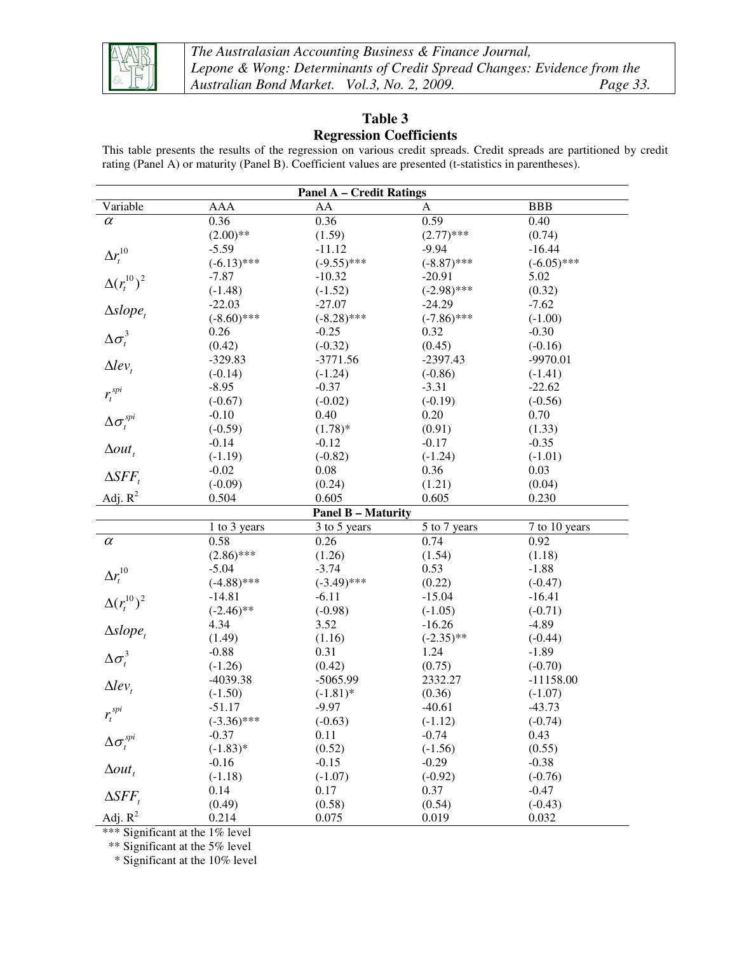

*The Australasian Accounting Business & Finance Journal, Lepone & Wong: Determinants of Credit Spread Changes: Evidence from the Australian Bond Market. Vol.3, No. 2, 2009. Page 33.*

## **Table 3 Regression Coefficients**

This table presents the results of the regression on various credit spreads. Credit spreads are partitioned by credit rating (Panel A) or maturity (Panel B). Coefficient values are presented (t-statistics in parentheses).

| <b>Panel A - Credit Ratings</b>   |               |                           |               |               |  |  |  |
|-----------------------------------|---------------|---------------------------|---------------|---------------|--|--|--|
| Variable                          | AAA           | AA                        | A             | <b>BBB</b>    |  |  |  |
| $\alpha$                          | 0.36          | 0.36                      | 0.59          | 0.40          |  |  |  |
|                                   | $(2.00)$ **   | (1.59)                    | $(2.77)$ ***  | (0.74)        |  |  |  |
|                                   | $-5.59$       | $-11.12$                  | $-9.94$       | $-16.44$      |  |  |  |
| $\Delta r_t^{10}$                 | $(-6.13)$ *** | $(-9.55)$ ***             | $(-8.87)$ *** | $(-6.05)$ *** |  |  |  |
|                                   | $-7.87$       | $-10.32$                  | $-20.91$      | 5.02          |  |  |  |
| $\Delta(r_t^{10})^2$              | $(-1.48)$     | $(-1.52)$                 | $(-2.98)$ *** | (0.32)        |  |  |  |
|                                   | $-22.03$      | $-27.07$                  | $-24.29$      | $-7.62$       |  |  |  |
| $\Delta slope_t$                  | $(-8.60)$ *** | $(-8.28)$ ***             | $(-7.86)$ *** | $(-1.00)$     |  |  |  |
| $\Delta \sigma_t^3$               | 0.26          | $-0.25$                   | 0.32          | $-0.30$       |  |  |  |
|                                   | (0.42)        | $(-0.32)$                 | (0.45)        | $(-0.16)$     |  |  |  |
|                                   | $-329.83$     | $-3771.56$                | $-2397.43$    | $-9970.01$    |  |  |  |
| $\Delta lev_{t}$                  | $(-0.14)$     | $(-1.24)$                 | $(-0.86)$     | $(-1.41)$     |  |  |  |
|                                   | $-8.95$       | $-0.37$                   | $-3.31$       | $-22.62$      |  |  |  |
| $r_t^{spi}$                       | $(-0.67)$     | $(-0.02)$                 | $(-0.19)$     | $(-0.56)$     |  |  |  |
|                                   | $-0.10$       | 0.40                      | 0.20          | 0.70          |  |  |  |
| $\Delta \sigma_{\rm r}^{\rm spi}$ | $(-0.59)$     | $(1.78)$ *                | (0.91)        | (1.33)        |  |  |  |
|                                   | $-0.14$       | $-0.12$                   | $-0.17$       | $-0.35$       |  |  |  |
| $\Delta out$ ,                    | $(-1.19)$     | $(-0.82)$                 | $(-1.24)$     | $(-1.01)$     |  |  |  |
|                                   | $-0.02$       | 0.08                      | 0.36          | 0.03          |  |  |  |
| $\Delta SFF_{t}$                  | $(-0.09)$     | (0.24)                    | (1.21)        | (0.04)        |  |  |  |
| Adj. $R^2$                        | 0.504         | 0.605                     | 0.605         | 0.230         |  |  |  |
|                                   |               | <b>Panel B - Maturity</b> |               |               |  |  |  |
|                                   | 1 to 3 years  | 3 to 5 years              | 5 to 7 years  | 7 to 10 years |  |  |  |
| $\alpha$                          | 0.58          | 0.26                      | 0.74          | 0.92          |  |  |  |
|                                   | $(2.86)$ ***  | (1.26)                    | (1.54)        | (1.18)        |  |  |  |
| $\Delta r_t^{10}$                 | $-5.04$       | $-3.74$                   | 0.53          | $-1.88$       |  |  |  |
|                                   | $(-4.88)$ *** | $(-3.49)$ ***             | (0.22)        | $(-0.47)$     |  |  |  |
| $\Delta(r_t^{10})^2$              | $-14.81$      | $-6.11$                   | $-15.04$      | $-16.41$      |  |  |  |
|                                   | $(-2.46)$ **  | $(-0.98)$                 | $(-1.05)$     | $(-0.71)$     |  |  |  |
| $\Delta slope_t$                  | 4.34          | 3.52                      | $-16.26$      | $-4.89$       |  |  |  |
|                                   | (1.49)        | (1.16)                    | $(-2.35)$ **  | $(-0.44)$     |  |  |  |
| $\Delta \sigma_t^3$               | $-0.88$       | 0.31                      | 1.24          | $-1.89$       |  |  |  |
|                                   | $(-1.26)$     | (0.42)                    | (0.75)        | $(-0.70)$     |  |  |  |
| $\Delta lev_{t}$                  | -4039.38      | $-5065.99$                | 2332.27       | $-11158.00$   |  |  |  |
|                                   | $(-1.50)$     | $(-1.81)$ *               | (0.36)        | $(-1.07)$     |  |  |  |
| $r_t^{spi}$                       | -51.17        | $-9.97$                   | $-40.61$      | $-43.73$      |  |  |  |
|                                   | $(-3.36)$ *** | $(-0.63)$                 | $(-1.12)$     | $(-0.74)$     |  |  |  |
| $\Delta \sigma^{spi}_t$           | $-0.37$       | 0.11                      | $-0.74$       | 0.43          |  |  |  |
|                                   | $(-1.83)*$    | (0.52)                    | $(-1.56)$     | (0.55)        |  |  |  |
| $\Delta out$ ,                    | $-0.16$       | $-0.15$                   | $-0.29$       | $-0.38$       |  |  |  |
|                                   | $(-1.18)$     | $(-1.07)$                 | $(-0.92)$     | $(-0.76)$     |  |  |  |
| $\Delta SFF_{t}$                  | 0.14          | 0.17                      | 0.37          | $-0.47$       |  |  |  |
|                                   | (0.49)        | (0.58)                    | (0.54)        | $(-0.43)$     |  |  |  |
| Adj. $R^2$                        | 0.214         | 0.075                     | 0.019         | 0.032         |  |  |  |

\*\*\* Significant at the 1% level

\*\* Significant at the 5% level

\* Significant at the 10% level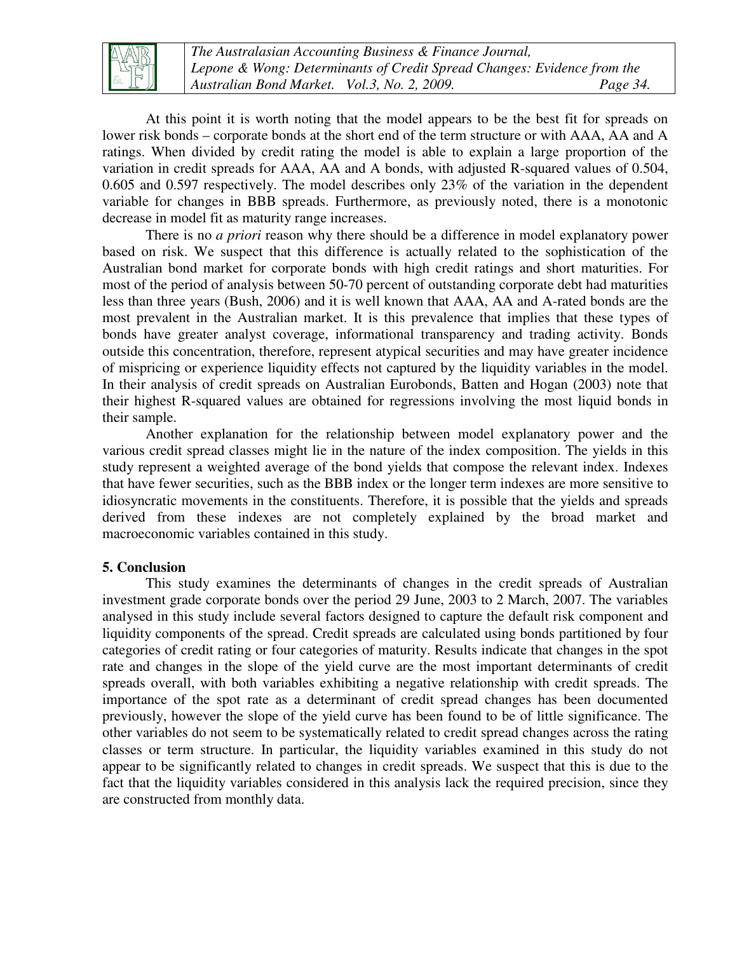

*The Australasian Accounting Business & Finance Journal, Lepone & Wong: Determinants of Credit Spread Changes: Evidence from the Australian Bond Market. Vol.3, No. 2, 2009. Page 34.*

At this point it is worth noting that the model appears to be the best fit for spreads on lower risk bonds – corporate bonds at the short end of the term structure or with AAA, AA and A ratings. When divided by credit rating the model is able to explain a large proportion of the variation in credit spreads for AAA, AA and A bonds, with adjusted R-squared values of 0.504, 0.605 and 0.597 respectively. The model describes only 23% of the variation in the dependent variable for changes in BBB spreads. Furthermore, as previously noted, there is a monotonic decrease in model fit as maturity range increases.

There is no *a priori* reason why there should be a difference in model explanatory power based on risk. We suspect that this difference is actually related to the sophistication of the Australian bond market for corporate bonds with high credit ratings and short maturities. For most of the period of analysis between 50-70 percent of outstanding corporate debt had maturities less than three years (Bush, 2006) and it is well known that AAA, AA and A-rated bonds are the most prevalent in the Australian market. It is this prevalence that implies that these types of bonds have greater analyst coverage, informational transparency and trading activity. Bonds outside this concentration, therefore, represent atypical securities and may have greater incidence of mispricing or experience liquidity effects not captured by the liquidity variables in the model. In their analysis of credit spreads on Australian Eurobonds, Batten and Hogan (2003) note that their highest R-squared values are obtained for regressions involving the most liquid bonds in their sample.

Another explanation for the relationship between model explanatory power and the various credit spread classes might lie in the nature of the index composition. The yields in this study represent a weighted average of the bond yields that compose the relevant index. Indexes that have fewer securities, such as the BBB index or the longer term indexes are more sensitive to idiosyncratic movements in the constituents. Therefore, it is possible that the yields and spreads derived from these indexes are not completely explained by the broad market and macroeconomic variables contained in this study.

#### **5. Conclusion**

This study examines the determinants of changes in the credit spreads of Australian investment grade corporate bonds over the period 29 June, 2003 to 2 March, 2007. The variables analysed in this study include several factors designed to capture the default risk component and liquidity components of the spread. Credit spreads are calculated using bonds partitioned by four categories of credit rating or four categories of maturity. Results indicate that changes in the spot rate and changes in the slope of the yield curve are the most important determinants of credit spreads overall, with both variables exhibiting a negative relationship with credit spreads. The importance of the spot rate as a determinant of credit spread changes has been documented previously, however the slope of the yield curve has been found to be of little significance. The other variables do not seem to be systematically related to credit spread changes across the rating classes or term structure. In particular, the liquidity variables examined in this study do not appear to be significantly related to changes in credit spreads. We suspect that this is due to the fact that the liquidity variables considered in this analysis lack the required precision, since they are constructed from monthly data.